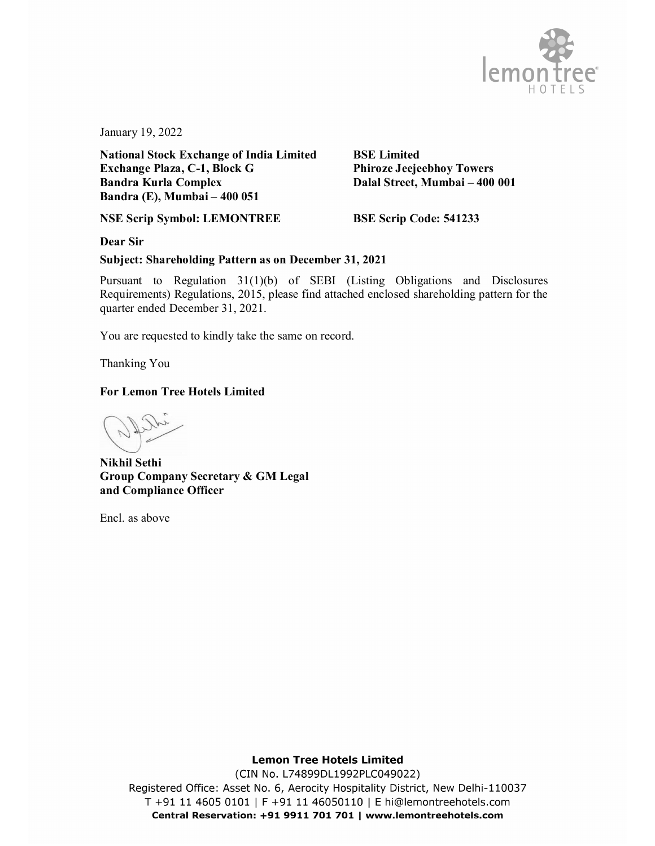

January 19, 2022

**National Stock Exchange of India Limited BSE Limited Exchange Plaza, C-1, Block G Phiroze Jeejeebhoy Towers Bandra Kurla Complex Dalal Street, Mumbai – 400 001 Bandra (E), Mumbai – 400 051**

**NSE Scrip Symbol: LEMONTREE BSE Scrip Code: 541233**

**Dear Sir**

## **Subject: Shareholding Pattern as on December 31, 2021**

Pursuant to Regulation 31(1)(b) of SEBI (Listing Obligations and Disclosures Requirements) Regulations, 2015, please find attached enclosed shareholding pattern for the quarter ended December 31, 2021.

You are requested to kindly take the same on record.

Thanking You

## **For Lemon Tree Hotels Limited**

**Nikhil Sethi Group Company Secretary & GM Legal and Compliance Officer**

Encl. as above

## **Lemon Tree Hotels Limited**

(CIN No. L74899DL1992PLC049022) Registered Office: Asset No. 6, Aerocity Hospitality District, New Delhi-110037 T +91 11 4605 0101 | F +91 11 46050110 | E hi@lemontreehotels.com Central Reservation: +91 9911 701 701 | www.lemontreehotels.com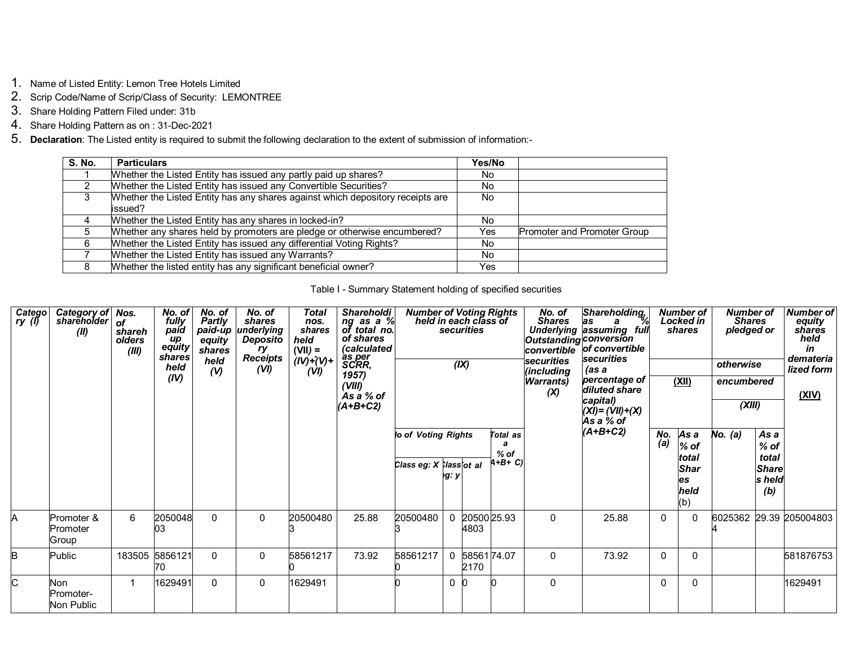- 1. Name of Listed Entity: Lemon Tree Hotels Limited
- 2. Scrip Code/Name of Scrip/Class of Security: LEMONTREE
- 3. Share Holding Pattern Filed under: 31b
- 4. Share Holding Pattern as on : 31-Dec-2021
- 5. **Declaration**: The Listed entity is required to submit the following declaration to the extent of submission of information:-

| <b>S. No.</b> | <b>Particulars</b>                                                                         | Yes/No |                             |
|---------------|--------------------------------------------------------------------------------------------|--------|-----------------------------|
|               | Whether the Listed Entity has issued any partly paid up shares?                            | No.    |                             |
|               | Whether the Listed Entity has issued any Convertible Securities?                           | No.    |                             |
| 3             | Whether the Listed Entity has any shares against which depository receipts are<br>lissued? | No.    |                             |
|               | Whether the Listed Entity has any shares in locked-in?                                     | No.    |                             |
|               | Whether any shares held by promoters are pledge or otherwise encumbered?                   | Yes    | Promoter and Promoter Group |
| 6             | Whether the Listed Entity has issued any differential Voting Rights?                       | No.    |                             |
|               | Whether the Listed Entity has issued any Warrants?                                         | No.    |                             |
|               | Whether the listed entity has any significant beneficial owner?                            | Yes    |                             |

## Table I - Summary Statement holding of specified securities

| Catego<br>ry (l) | Category of<br>shareholder<br>(II) | Nos.<br>of<br>shareh<br>olders<br>(III) | No. of<br>fully<br>paid<br>up<br>equity<br>shares<br>held<br>(IV) | No. of<br>Partly<br>paid-up<br>equity<br>shares<br>held<br>(V) | No. of<br>shares<br>underlying<br><b>Deposito</b><br>ry<br><b>Receipts</b><br>(VI) | Total<br>nos.<br>shares<br>held<br>$(VII) =$<br>$(IV)^+(V)$ +<br>(VI) | Shareholdi<br>ng as a %<br>of total no.<br>of shares<br>(calculated<br>as per<br>SCRR,<br>1957)<br>(VIII)<br>As a % of<br>$(A+B+C2)$ | <b>Number of Voting Rights</b><br>held in each class of |          | <b>securities</b><br>(X) |                                     | No. of<br>Shares<br>Outstanding conversion<br>convertible<br><b>securities</b><br>(including<br><b>Warrants</b> )<br>(X) | Shareholding,<br>as a %<br>Underlying assuming full<br>of convertible<br><b>lsecurities</b><br>(as a<br>percentage of<br>diluted share<br>capital)<br>$(XI) = (VII) + (X)$<br>As a % of |              | <b>Number of</b><br>Locked in<br>shares<br><u>(XII)</u>     | <b>Number of</b><br><b>Shares</b><br>pledged or<br>otherwise<br>encumbered<br>(XIII) |                                                          | <b>Number of</b><br>equity<br>shares<br>held<br>in<br>demateria<br>lized form<br>(XIV) |
|------------------|------------------------------------|-----------------------------------------|-------------------------------------------------------------------|----------------------------------------------------------------|------------------------------------------------------------------------------------|-----------------------------------------------------------------------|--------------------------------------------------------------------------------------------------------------------------------------|---------------------------------------------------------|----------|--------------------------|-------------------------------------|--------------------------------------------------------------------------------------------------------------------------|-----------------------------------------------------------------------------------------------------------------------------------------------------------------------------------------|--------------|-------------------------------------------------------------|--------------------------------------------------------------------------------------|----------------------------------------------------------|----------------------------------------------------------------------------------------|
|                  |                                    |                                         |                                                                   |                                                                |                                                                                    |                                                                       |                                                                                                                                      | lo of Voting Rights<br>Class eg: X Classiot al          | eg: y    |                          | Total as<br>a<br>$%$ of<br>$(+B+C)$ |                                                                                                                          | $(A+B+C2)$                                                                                                                                                                              | No.<br>(a)   | As a<br>$%$ of<br>total<br><b>Shar</b><br>es<br>held<br>(b) | No. (a)                                                                              | As a<br>$%$ of<br>total<br><b>Share</b><br>s held<br>(b) |                                                                                        |
| A                | Promoter &<br>Promoter<br>Group    | 6                                       | 2050048<br>03                                                     | 0                                                              | 0                                                                                  | 20500480                                                              | 25.88                                                                                                                                | 20500480                                                |          | 4803                     | 20500 25.93                         | 0                                                                                                                        | 25.88                                                                                                                                                                                   | $\mathbf{0}$ |                                                             | 6025362                                                                              |                                                          | 29.39 205004803                                                                        |
| B                | <b>Public</b>                      |                                         | 183505 5856121<br>70                                              | 0                                                              | $\mathbf 0$                                                                        | 58561217                                                              | 73.92                                                                                                                                | 58561217                                                |          | 2170                     | 5856174.07                          | 0                                                                                                                        | 73.92                                                                                                                                                                                   | $\Omega$     | 0                                                           |                                                                                      |                                                          | 581876753                                                                              |
| C                | Non<br>Promoter-<br>Non Public     | 1                                       | 1629491                                                           | 0                                                              | 0                                                                                  | 1629491                                                               |                                                                                                                                      |                                                         | $\Omega$ | n                        |                                     | 0                                                                                                                        |                                                                                                                                                                                         | 0            | 0                                                           |                                                                                      |                                                          | 1629491                                                                                |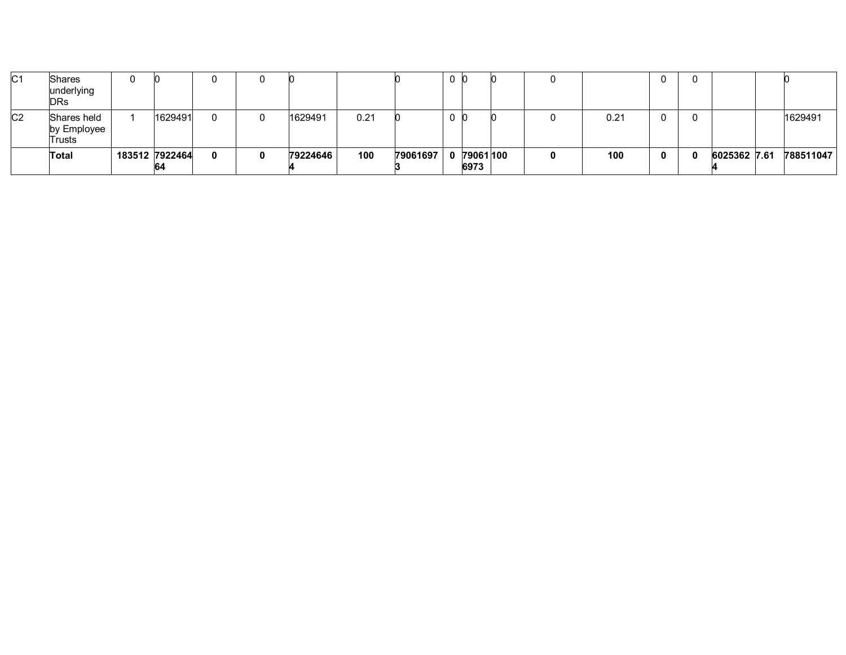| C <sub>1</sub> | <b>Shares</b><br>underlying<br><b>DRs</b> |                       | 0 |          |      |          | 0 |                     |   |      |              |              |           |
|----------------|-------------------------------------------|-----------------------|---|----------|------|----------|---|---------------------|---|------|--------------|--------------|-----------|
| C <sub>2</sub> | Shares held<br>by Employee<br>Trusts      | 1629491               | 0 | 1629491  | 0.21 |          | 0 |                     |   | 0.21 |              |              | 1629491   |
|                | Total                                     | 183512 7922464<br>164 | 0 | 79224646 | 100  | 79061697 |   | 0 79061 100<br>6973 | 0 | 100  | $\mathbf{0}$ | 6025362 7.61 | 788511047 |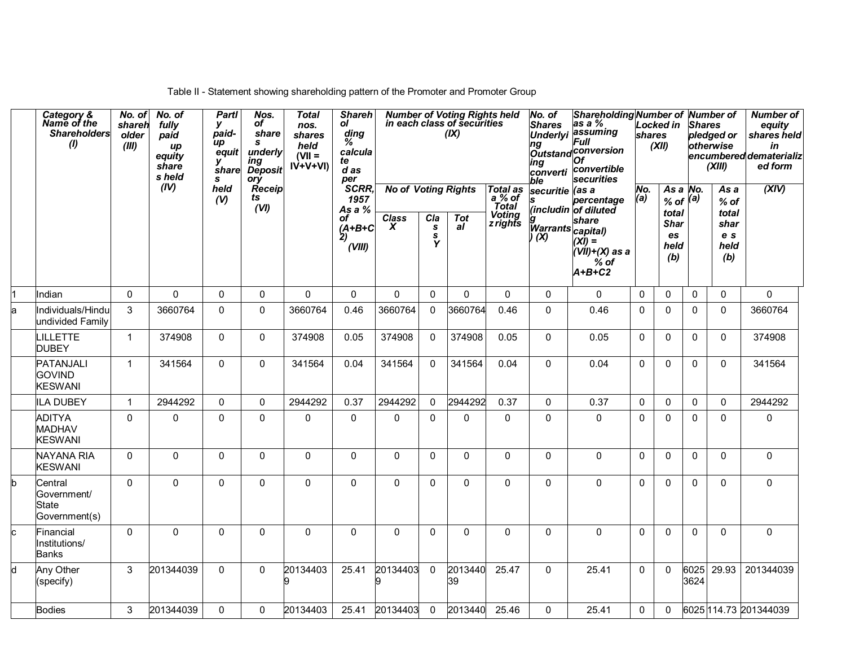|   | Category &<br>Name of the<br><b>Shareholders</b><br>$\boldsymbol{\theta}$ | No. of<br>shareh<br>older<br>(III) | No. of<br>fully<br>paid<br>up<br>equity<br>share<br>s held | <b>Partl</b><br>У<br>paid-<br>иp<br>equit<br>v<br>share<br>s | Nos.<br>оf<br>share<br>s<br>underly<br>ing<br><b>Deposit</b><br>ory | <b>Total</b><br>nos.<br>shares<br>held<br>$(VII =$<br>$IV+V+VI$ | <b>Shareh</b><br>ol<br>ding<br>℅<br>calcula<br>te<br>$d$ as<br>per |                                                       |                                                 | Number of Voting Rights held<br>in each class of securities<br>(IX) |                                                                        | No. of<br><b>Shares</b><br>ng<br>ing<br>converti<br>ble       | Shareholding Number of Number of<br>$\overline{as} a \%$<br>Underlyi assuming<br>Full<br>Outstand conversion<br>Οf<br>convertible<br>securities | shares       | <b>Locked in</b><br>(XII)                                                | <b>Shares</b> | pledged or<br>otherwise<br>(XIII)                     | <b>Number of</b><br>equity<br>shares held<br>in<br>encumbered dematerializ<br>ed form |
|---|---------------------------------------------------------------------------|------------------------------------|------------------------------------------------------------|--------------------------------------------------------------|---------------------------------------------------------------------|-----------------------------------------------------------------|--------------------------------------------------------------------|-------------------------------------------------------|-------------------------------------------------|---------------------------------------------------------------------|------------------------------------------------------------------------|---------------------------------------------------------------|-------------------------------------------------------------------------------------------------------------------------------------------------|--------------|--------------------------------------------------------------------------|---------------|-------------------------------------------------------|---------------------------------------------------------------------------------------|
|   |                                                                           |                                    | (IV)                                                       | held<br>(V)                                                  | Receip<br>ts<br>(VI)                                                |                                                                 | SCRR,<br>1957<br>As a %<br>оf<br>$(A+B+C$<br>2)<br>(VIII)          | <b>No of Voting Rights</b><br>$\overline{Class}$<br>X | Cla<br>$\pmb{\mathsf{s}}$<br>$\frac{s}{\gamma}$ | <b>Tot</b><br>al                                                    | <b>Total as</b><br>$a%$ of<br><b>Total</b><br><b>Voting</b><br>zrights | securitie (as a<br>s<br>g<br> Warrants  capital<br> حدید اللہ | percentage<br>(includin of diluted<br>$\dot{x}$ <i>i</i> ) =<br>(VII)+(X) as a<br>$%$ of<br>$A+B+C2$                                            | No.<br>(a)   | As a $No$ .<br>$%$ of $(a)$<br>total<br><b>Shar</b><br>es<br>held<br>(b) |               | As a<br>$%$ of<br>total<br>shar<br>e s<br>held<br>(b) | (XIV)                                                                                 |
|   | Indian                                                                    | $\mathbf 0$                        | $\pmb{0}$                                                  | $\mathbf 0$                                                  | $\mathbf{0}$                                                        | 0                                                               | $\pmb{0}$                                                          | $\pmb{0}$                                             | $\mathbf{0}$                                    | 0                                                                   | 0                                                                      | 0                                                             | 0                                                                                                                                               | 0            | 0                                                                        | $\mathbf 0$   | $\Omega$                                              | 0                                                                                     |
|   | Individuals/Hindu<br>undivided Family                                     | 3                                  | 3660764                                                    | $\mathbf{0}$                                                 | $\mathbf{0}$                                                        | 3660764                                                         | 0.46                                                               | 3660764                                               | $\Omega$                                        | 3660764                                                             | 0.46                                                                   | $\Omega$                                                      | 0.46                                                                                                                                            | 0            | $\mathbf{0}$                                                             | $\mathbf 0$   | $\Omega$                                              | 3660764                                                                               |
|   | LILLETTE<br><b>DUBEY</b>                                                  | $\mathbf{1}$                       | 374908                                                     | $\mathbf{0}$                                                 | $\mathbf{0}$                                                        | 374908                                                          | 0.05                                                               | 374908                                                | $\Omega$                                        | 374908                                                              | 0.05                                                                   | $\Omega$                                                      | 0.05                                                                                                                                            | $\Omega$     | 0                                                                        | $\mathbf 0$   | $\mathbf{0}$                                          | 374908                                                                                |
|   | PATANJALI<br><b>GOVIND</b><br><b>KESWANI</b>                              | $\mathbf{1}$                       | 341564                                                     | $\mathbf{0}$                                                 | 0                                                                   | 341564                                                          | 0.04                                                               | 341564                                                | $\mathbf{0}$                                    | 341564                                                              | 0.04                                                                   | $\mathbf{0}$                                                  | 0.04                                                                                                                                            | $\Omega$     | $\mathbf{0}$                                                             | $\mathbf 0$   | $\mathbf{0}$                                          | 341564                                                                                |
|   | <b>ILA DUBEY</b>                                                          | $\mathbf 1$                        | 2944292                                                    | $\mathbf{0}$                                                 | $\Omega$                                                            | 2944292                                                         | 0.37                                                               | 2944292                                               | $\Omega$                                        | 2944292                                                             | 0.37                                                                   | $\Omega$                                                      | 0.37                                                                                                                                            | $\Omega$     | $\mathbf{0}$                                                             | $\mathbf 0$   | $\Omega$                                              | 2944292                                                                               |
|   | <b>ADITYA</b><br><b>MADHAV</b><br><b>KESWANI</b>                          | $\mathbf{0}$                       | $\mathbf 0$                                                | 0                                                            | 0                                                                   | 0                                                               | 0                                                                  | 0                                                     | $\mathbf{0}$                                    | 0                                                                   | $\mathbf{0}$                                                           | $\mathbf{0}$                                                  | 0                                                                                                                                               | $\Omega$     | $\mathbf{0}$                                                             | 0             | $\Omega$                                              | 0                                                                                     |
|   | <b>NAYANA RIA</b><br><b>KESWANI</b>                                       | $\mathbf{0}$                       | $\mathbf{0}$                                               | $\mathbf{0}$                                                 | $\mathbf{0}$                                                        | 0                                                               | $\mathsf{O}$                                                       | 0                                                     | $\Omega$                                        | $\Omega$                                                            | $\mathbf{0}$                                                           | $\Omega$                                                      | 0                                                                                                                                               | $\Omega$     | $\Omega$                                                                 | 0             | $\Omega$                                              | 0                                                                                     |
|   | Central<br>Government/<br><b>State</b><br>Government(s)                   | $\Omega$                           | $\Omega$                                                   | $\Omega$                                                     | $\Omega$                                                            | 0                                                               | 0                                                                  | $\mathbf 0$                                           | $\Omega$                                        | $\Omega$                                                            | $\Omega$                                                               | $\Omega$                                                      | $\Omega$                                                                                                                                        | $\Omega$     | $\Omega$                                                                 | $\mathbf 0$   | $\Omega$                                              | $\mathbf 0$                                                                           |
| c | Financial<br>Institutions/<br><b>Banks</b>                                | $\Omega$                           | $\Omega$                                                   | $\Omega$                                                     | $\Omega$                                                            | 0                                                               | $\mathbf 0$                                                        | $\mathbf{0}$                                          | $\Omega$                                        | $\Omega$                                                            | $\Omega$                                                               | $\Omega$                                                      | $\Omega$                                                                                                                                        | $\Omega$     | $\mathbf{0}$                                                             | $\mathbf{0}$  | $\Omega$                                              | $\mathsf 0$                                                                           |
| d | Any Other<br>(specify)                                                    | 3                                  | 201344039                                                  | $\mathbf{0}$                                                 | 0                                                                   | 20134403<br>9                                                   | 25.41                                                              | 20134403<br>9                                         | $\mathbf{0}$                                    | 2013440<br>39                                                       | 25.47                                                                  | $\Omega$                                                      | 25.41                                                                                                                                           | $\mathbf{0}$ | 0                                                                        | 6025<br>3624  | 29.93                                                 | 201344039                                                                             |
|   | <b>Bodies</b>                                                             | 3                                  | 201344039                                                  | 0                                                            | 0                                                                   | 20134403                                                        | 25.41                                                              | 20134403                                              | $\mathbf{0}$                                    | 2013440                                                             | 25.46                                                                  | $\Omega$                                                      | 25.41                                                                                                                                           | 0            | 0                                                                        |               |                                                       | 6025 114.73 201344039                                                                 |

Table II - Statement showing shareholding pattern of the Promoter and Promoter Group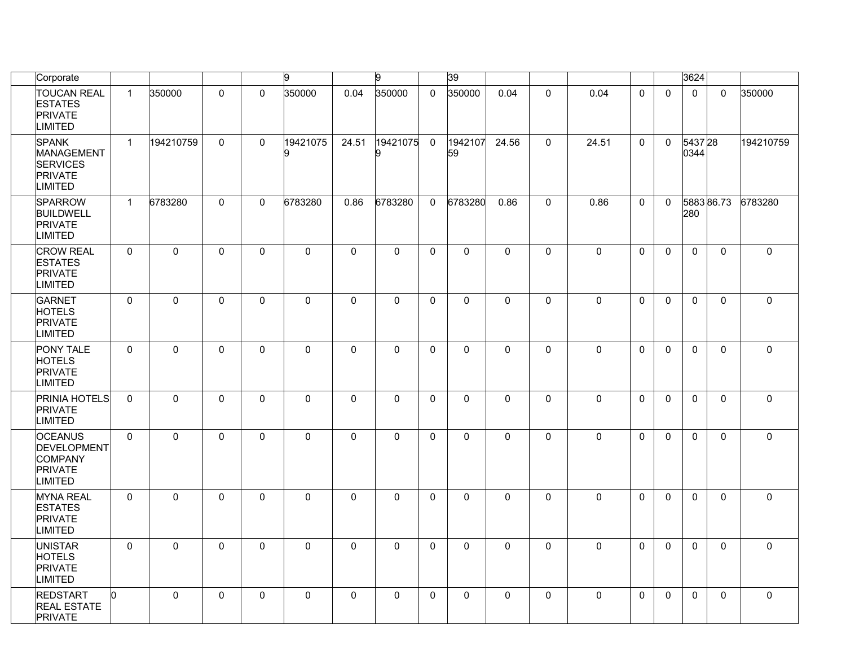| Corporate                                                                                 |              |             |              |              | g             |                     | 9            |              | 39            |              |              |             |              |              | 3624           |              |              |
|-------------------------------------------------------------------------------------------|--------------|-------------|--------------|--------------|---------------|---------------------|--------------|--------------|---------------|--------------|--------------|-------------|--------------|--------------|----------------|--------------|--------------|
| <b>TOUCAN REAL</b><br><b>ESTATES</b><br><b>PRIVATE</b><br>LIMITED                         | $\mathbf{1}$ | 350000      | $\mathbf 0$  | $\Omega$     | 350000        | 0.04                | 350000       | $\mathsf{O}$ | 350000        | 0.04         | $\mathbf 0$  | 0.04        | $\mathbf 0$  | $\Omega$     | $\mathbf 0$    | $\mathbf 0$  | 350000       |
| <b>SPANK</b><br><b>MANAGEMENT</b><br><b>SERVICES</b><br><b>PRIVATE</b><br><b>IMITED</b>   | $\mathbf{1}$ | 194210759   | $\mathbf{0}$ | $\mathbf{0}$ | 19421075<br>g | 24.51               | 19421075     | $\mathbf 0$  | 1942107<br>59 | 24.56        | $\mathbf 0$  | 24.51       | $\Omega$     | $\mathbf 0$  | 543728<br>0344 |              | 194210759    |
| <b>SPARROW</b><br><b>BUILDWELL</b><br><b>PRIVATE</b><br><b>LIMITED</b>                    | $\mathbf{1}$ | 6783280     | $\mathbf{0}$ | $\mathbf{0}$ | 6783280       | 0.86                | 6783280      | $\Omega$     | 6783280       | 0.86         | $\mathbf{0}$ | 0.86        | $\mathbf{0}$ | $\mathbf{0}$ | 280            | 588386.73    | 6783280      |
| <b>CROW REAL</b><br><b>ESTATES</b><br><b>PRIVATE</b><br><b>IMITED</b>                     | $\mathbf{0}$ | $\mathbf 0$ | $\mathbf{0}$ | $\Omega$     | 0             | $\mathsf 0$         | $\mathbf 0$  | $\mathbf{0}$ | $\mathbf{0}$  | $\Omega$     | $\mathbf{0}$ | $\mathbf 0$ | $\mathbf{0}$ | $\mathbf{0}$ | $\Omega$       | $\mathbf{0}$ | $\mathbf 0$  |
| <b>GARNET</b><br><b>HOTELS</b><br><b>PRIVATE</b><br><b>IMITED</b>                         | $\mathbf 0$  | $\mathbf 0$ | $\mathbf 0$  | $\Omega$     | 0             | $\mathbf 0$         | $\mathbf 0$  | $\mathsf{O}$ | $\mathbf 0$   | $\mathsf{O}$ | $\mathbf 0$  | $\mathbf 0$ | $\mathbf 0$  | $\Omega$     | $\mathbf 0$    | $\mathbf 0$  | $\mathsf{O}$ |
| PONY TALE<br><b>HOTELS</b><br><b>PRIVATE</b><br>LIMITED                                   | $\mathbf 0$  | $\mathbf 0$ | $\mathbf 0$  | $\mathbf{0}$ | 0             | $\mathbf 0$         | $\mathsf{O}$ | $\mathsf{O}$ | $\mathbf 0$   | 0            | $\mathbf 0$  | $\mathbf 0$ | $\mathbf{0}$ | $\mathbf{0}$ | $\mathbf 0$    | $\mathbf{0}$ | $\mathsf 0$  |
| PRINIA HOTELS<br><b>PRIVATE</b><br><b>LIMITED</b>                                         | $\mathbf 0$  | $\mathbf 0$ | $\mathbf{0}$ | $\mathbf{0}$ | 0             | $\mathbf 0$         | $\pmb{0}$    | $\mathbf{0}$ | $\mathbf{0}$  | $\mathbf 0$  | $\mathbf{0}$ | $\mathbf 0$ | $\mathbf{0}$ | $\mathbf{0}$ | $\Omega$       | 0            | $\mathbf 0$  |
| <b>OCEANUS</b><br><b>DEVELOPMENT</b><br><b>COMPANY</b><br><b>PRIVATE</b><br><b>IMITED</b> | $\mathbf{0}$ | $\mathbf 0$ | $\mathbf{0}$ | $\mathbf{0}$ | 0             | $\mathbf 0$         | $\mathbf{0}$ | $\mathbf{0}$ | $\mathbf{0}$  | $\Omega$     | $\mathbf{0}$ | $\mathbf 0$ | $\Omega$     | $\mathbf{0}$ | $\Omega$       | $\mathbf{0}$ | 0            |
| <b>MYNA REAL</b><br><b>ESTATES</b><br><b>PRIVATE</b><br>LIMITED                           | $\mathbf 0$  | $\mathbf 0$ | $\mathbf 0$  | $\mathbf{0}$ | 0             | $\mathsf{O}\xspace$ | $\mathbf 0$  | 0            | $\mathbf 0$   | 0            | $\mathbf 0$  | $\mathbf 0$ | 0            | $\mathbf{0}$ | $\mathbf 0$    | 0            | $\mathsf 0$  |
| <b>UNISTAR</b><br><b>HOTELS</b><br><b>PRIVATE</b><br><b>LIMITED</b>                       | $\mathbf{0}$ | $\Omega$    | $\Omega$     | $\Omega$     | $\Omega$      | $\mathbf{0}$        | $\mathbf{0}$ | $\Omega$     | $\Omega$      | $\Omega$     | $\Omega$     | $\Omega$    | $\Omega$     | $\Omega$     | $\Omega$       | $\mathbf{0}$ | 0            |
| <b>REDSTART</b><br><b>REAL ESTATE</b><br><b>PRIVATE</b>                                   | n.           | $\mathbf 0$ | $\mathbf{0}$ | $\mathbf{0}$ | 0             | $\mathbf 0$         | $\mathbf{0}$ | $\mathbf{0}$ | $\mathbf{0}$  | $\mathbf 0$  | $\mathbf{0}$ | $\mathbf 0$ | $\Omega$     | $\Omega$     | $\mathbf{0}$   | $\mathbf{0}$ | $\mathbf 0$  |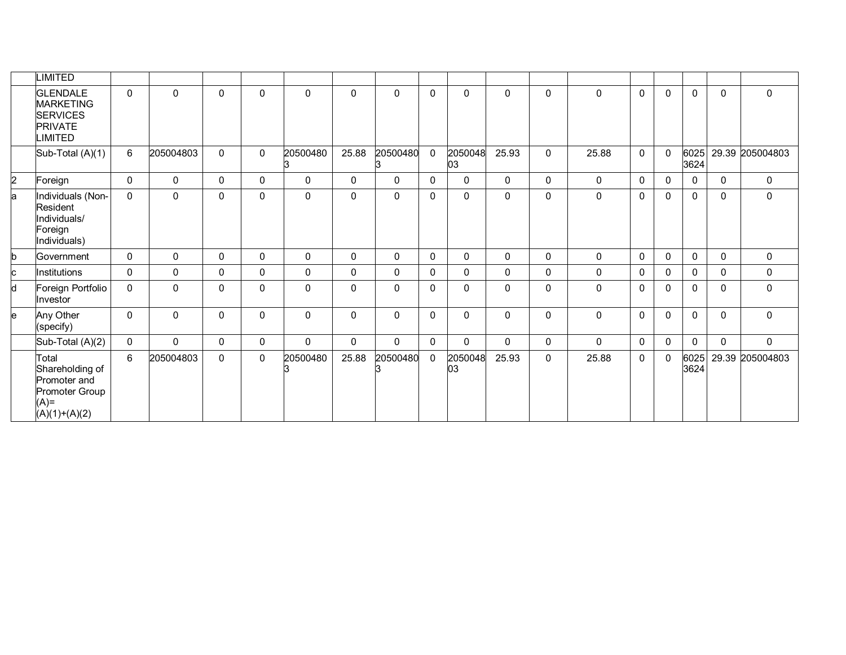|    | <b>IMITED</b>                                                                             |              |              |             |   |                |              |              |              |               |              |   |              |              |              |              |              |                 |
|----|-------------------------------------------------------------------------------------------|--------------|--------------|-------------|---|----------------|--------------|--------------|--------------|---------------|--------------|---|--------------|--------------|--------------|--------------|--------------|-----------------|
|    | <b>GLENDALE</b><br><b>MARKETING</b><br><b>SERVICES</b><br><b>PRIVATE</b><br><b>IMITED</b> | $\mathbf{0}$ | $\mathbf{0}$ | 0           | 0 | $\mathbf 0$    | $\mathbf{0}$ | $\mathbf{0}$ | $\mathbf{0}$ | $\mathbf{0}$  | $\mathbf{0}$ | 0 | $\mathbf{0}$ | 0            | $\Omega$     | $\mathbf{0}$ | $\Omega$     | $\mathbf{0}$    |
|    | Sub-Total (A)(1)                                                                          | 6            | 205004803    | 0           | 0 | 20500480<br>IЗ | 25.88        | 20500480     | $\mathbf 0$  | 2050048<br>03 | 25.93        | 0 | 25.88        | $\mathbf 0$  | $\Omega$     | 6025<br>3624 |              | 29.39 205004803 |
| 2  | Foreign                                                                                   | $\Omega$     | 0            | 0           | 0 | $\mathbf 0$    | $\mathbf{0}$ | $\mathbf{0}$ | $\mathbf{0}$ | $\mathbf{0}$  | $\mathbf{0}$ | 0 | 0            | $\mathbf{0}$ | $\mathbf{0}$ | $\Omega$     | $\mathbf{0}$ | $\mathbf 0$     |
| la | Individuals (Non-<br>Resident<br>Individuals/<br>Foreign<br>Individuals)                  | $\mathbf{0}$ | $\mathbf{0}$ | 0           | 0 | $\mathbf 0$    | $\mathbf{0}$ | $\mathbf{0}$ | $\mathbf{0}$ | $\mathbf{0}$  | $\mathbf{0}$ | 0 | 0            | $\mathbf{0}$ | $\mathbf{0}$ | $\mathbf{0}$ | $\mathbf{0}$ | $\mathbf 0$     |
| b  | Government                                                                                | 0            | 0            | 0           | 0 | $\mathbf 0$    | $\mathbf{0}$ | $\mathbf{0}$ | $\mathbf{0}$ | $\mathbf{0}$  | $\mathbf{0}$ | 0 | 0            | 0            | $\mathbf 0$  | $\mathbf{0}$ | $\mathbf{0}$ | $\mathbf 0$     |
| c  | Institutions                                                                              | $\mathbf{0}$ | 0            | 0           | 0 | $\mathbf 0$    | $\mathbf{0}$ | $\mathbf{0}$ | $\mathbf{0}$ | $\mathbf{0}$  | $\mathbf{0}$ | 0 | 0            | 0            | $\mathbf{0}$ | $\mathbf{0}$ | $\mathbf{0}$ | $\mathbf 0$     |
| d  | Foreign Portfolio<br>Investor                                                             | $\mathbf{0}$ | $\Omega$     | 0           | 0 | $\mathbf 0$    | $\mathbf{0}$ | $\mathbf{0}$ | $\mathbf{0}$ | $\Omega$      | $\mathbf{0}$ | 0 | $\mathbf{0}$ | $\mathbf{0}$ | $\Omega$     | $\mathbf{0}$ | $\Omega$     | $\mathbf 0$     |
| le | Any Other<br>(specify)                                                                    | $\mathbf{0}$ | 0            | 0           | 0 | $\mathsf 0$    | $\mathbf 0$  | $\mathbf 0$  | $\mathbf{0}$ | $\mathbf{0}$  | 0            | 0 | $\mathbf 0$  | $\mathbf{0}$ | 0            | $\mathbf{0}$ | $\mathbf{0}$ | $\mathbf 0$     |
|    | Sub-Total (A)(2)                                                                          | $\Omega$     | $\mathbf{0}$ | 0           | 0 | $\mathbf 0$    | $\mathbf{0}$ | $\Omega$     | $\mathbf{0}$ | $\mathbf{0}$  | $\Omega$     | 0 | $\Omega$     | 0            | $\mathbf{0}$ | $\Omega$     | $\mathbf 0$  | $\mathbf 0$     |
|    | Total<br>Shareholding of<br>Promoter and<br>Promoter Group<br>$(A)$ =<br>$(A)(1)+(A)(2)$  | 6            | 205004803    | $\mathbf 0$ | 0 | 20500480       | 25.88        | 20500480     | 0            | 2050048<br>03 | 25.93        | 0 | 25.88        | $\mathbf{0}$ | $\mathbf{0}$ | 6025<br>3624 |              | 29.39 205004803 |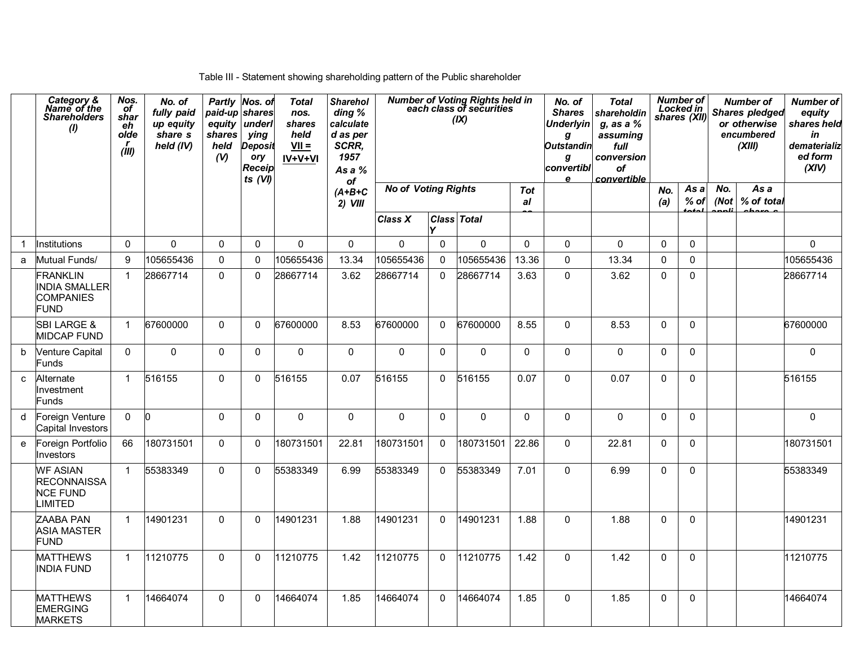Table III - Statement showing shareholding pattern of the Public shareholder

|   | Category &<br>Name of the<br><b>Shareholders</b><br>(1)                    | Nos.<br>of<br>shar<br>eh<br>olde<br>r<br>(iii) | No. of<br>fully paid<br>up equity<br>share s<br>held (IV) | paid-up shares<br>equity<br>shares<br>held<br>(V) | Partly Nos. of<br>underl<br>ying<br><b>Deposit</b><br>ory<br>Receip<br>ts (VI) | <b>Total</b><br>nos.<br>shares<br>held<br>$VII =$<br>IV+V+VI | <b>Sharehol</b><br>ding %<br>calculate<br>d as per<br>SCRR,<br>1957<br>As a %<br>of |                            |              | <b>Number of Voting Rights held in<br/>each class of securities</b><br>(IX) |                  | No. of<br><b>Shares</b><br><b>Underlyin</b><br>g<br><b>Outstandin</b><br>g<br>convertibl<br>e | <b>Total</b><br>shareholdin<br>$g$ , as a $%$<br>assuming<br>full<br>conversion<br><b>of</b><br>convertible |              | <b>Number of</b><br>Locked in<br>shares (XII) |              | <b>Number of</b><br><b>Shares pledged</b><br>or otherwise<br>encumbered<br>(XIII) | <b>Number of</b><br>equity<br>shares held<br>in<br>dematerializ<br>ed form<br>(XIV) |
|---|----------------------------------------------------------------------------|------------------------------------------------|-----------------------------------------------------------|---------------------------------------------------|--------------------------------------------------------------------------------|--------------------------------------------------------------|-------------------------------------------------------------------------------------|----------------------------|--------------|-----------------------------------------------------------------------------|------------------|-----------------------------------------------------------------------------------------------|-------------------------------------------------------------------------------------------------------------|--------------|-----------------------------------------------|--------------|-----------------------------------------------------------------------------------|-------------------------------------------------------------------------------------|
|   |                                                                            |                                                |                                                           |                                                   |                                                                                |                                                              | $(A+B+C$<br>$2)$ VIII                                                               | <b>No of Voting Rights</b> |              |                                                                             | <b>Tot</b><br>al |                                                                                               |                                                                                                             | No.<br>(a)   | As a<br>$%$ of                                | No.<br>(Not) | As a<br>% of total                                                                |                                                                                     |
|   |                                                                            |                                                |                                                           |                                                   |                                                                                |                                                              |                                                                                     | Class X                    |              | <b>Class Total</b>                                                          |                  |                                                                                               |                                                                                                             |              |                                               |              |                                                                                   |                                                                                     |
|   | Institutions                                                               | $\Omega$                                       | $\mathsf{O}\xspace$                                       | $\Omega$                                          | 0                                                                              | $\Omega$                                                     | $\mathsf{O}\xspace$                                                                 | 0                          | $\mathbf 0$  | $\pmb{0}$                                                                   | $\mathbf 0$      | $\mathbf 0$                                                                                   | $\mathbf 0$                                                                                                 | $\Omega$     | $\mathbf 0$                                   |              |                                                                                   | 0                                                                                   |
| a | Mutual Funds/                                                              | 9                                              | 105655436                                                 | $\mathbf 0$                                       | 0                                                                              | 105655436                                                    | 13.34                                                                               | 105655436                  | $\mathbf 0$  | 105655436                                                                   | 13.36            | $\pmb{0}$                                                                                     | 13.34                                                                                                       | $\mathbf 0$  | $\Omega$                                      |              |                                                                                   | 105655436                                                                           |
|   | <b>FRANKLIN</b><br><b>INDIA SMALLER</b><br><b>COMPANIES</b><br><b>FUND</b> | $\mathbf{1}$                                   | 28667714                                                  | $\mathbf{0}$                                      | 0                                                                              | 28667714                                                     | 3.62                                                                                | 28667714                   | $\Omega$     | 28667714                                                                    | 3.63             | $\mathbf{0}$                                                                                  | 3.62                                                                                                        | $\Omega$     | $\Omega$                                      |              |                                                                                   | 28667714                                                                            |
|   | <b>SBI LARGE &amp;</b><br><b>MIDCAP FUND</b>                               | $\mathbf{1}$                                   | 67600000                                                  | $\mathbf{0}$                                      | 0                                                                              | 67600000                                                     | 8.53                                                                                | 67600000                   | $\mathbf{0}$ | 67600000                                                                    | 8.55             | $\Omega$                                                                                      | 8.53                                                                                                        | $\Omega$     | $\mathbf{0}$                                  |              |                                                                                   | 67600000                                                                            |
| b | <b>Venture Capital</b><br>Funds                                            | 0                                              | $\mathbf 0$                                               | $\mathbf 0$                                       | 0                                                                              | 0                                                            | $\mathbf 0$                                                                         | $\mathbf 0$                | $\mathbf 0$  | 0                                                                           | 0                | 0                                                                                             | 0                                                                                                           | $\mathbf{0}$ | $\mathbf{0}$                                  |              |                                                                                   | 0                                                                                   |
| C | Alternate<br>Investment<br>Funds                                           | $\mathbf{1}$                                   | 516155                                                    | $\mathbf 0$                                       | 0                                                                              | 516155                                                       | 0.07                                                                                | 516155                     | $\Omega$     | 516155                                                                      | 0.07             | 0                                                                                             | 0.07                                                                                                        | $\Omega$     | $\mathbf{0}$                                  |              |                                                                                   | 516155                                                                              |
| d | Foreign Venture<br>Capital Investors                                       | $\Omega$                                       | <b>n</b>                                                  | $\mathbf{0}$                                      | $\Omega$                                                                       | $\Omega$                                                     | $\mathbf 0$                                                                         | $\mathbf{0}$               | $\mathbf{0}$ | 0                                                                           | $\Omega$         | $\Omega$                                                                                      | $\mathbf 0$                                                                                                 | $\Omega$     | $\mathbf{0}$                                  |              |                                                                                   | 0                                                                                   |
| e | Foreign Portfolio<br>nvestors                                              | 66                                             | 180731501                                                 | $\mathbf{0}$                                      | $\Omega$                                                                       | 180731501                                                    | 22.81                                                                               | 180731501                  | $\Omega$     | 180731501                                                                   | 22.86            | $\Omega$                                                                                      | 22.81                                                                                                       | $\Omega$     | $\mathbf{0}$                                  |              |                                                                                   | 180731501                                                                           |
|   | <b>WF ASIAN</b><br><b>RECONNAISSA</b><br><b>NCE FUND</b><br><b>LIMITED</b> | $\mathbf{1}$                                   | 55383349                                                  | $\mathbf{0}$                                      | 0                                                                              | 55383349                                                     | 6.99                                                                                | 55383349                   | $\mathbf{0}$ | 55383349                                                                    | 7.01             | $\mathbf{0}$                                                                                  | 6.99                                                                                                        | $\Omega$     | $\Omega$                                      |              |                                                                                   | 55383349                                                                            |
|   | ZAABA PAN<br><b>ASIA MASTER</b><br>FUND                                    | $\overline{1}$                                 | 14901231                                                  | $\mathbf{0}$                                      | $\Omega$                                                                       | 14901231                                                     | 1.88                                                                                | 14901231                   | $\Omega$     | 14901231                                                                    | 1.88             | $\mathbf 0$                                                                                   | 1.88                                                                                                        | $\Omega$     | $\mathbf 0$                                   |              |                                                                                   | 14901231                                                                            |
|   | <b>MATTHEWS</b><br><b>INDIA FUND</b>                                       | $\mathbf{1}$                                   | 11210775                                                  | $\mathbf{0}$                                      | 0                                                                              | 11210775                                                     | 1.42                                                                                | 11210775                   | $\Omega$     | 11210775                                                                    | 1.42             | $\Omega$                                                                                      | 1.42                                                                                                        | $\Omega$     | $\mathbf{0}$                                  |              |                                                                                   | 11210775                                                                            |
|   | <b>MATTHEWS</b><br><b>EMERGING</b><br><b>MARKETS</b>                       | $\mathbf{1}$                                   | 14664074                                                  | $\mathbf{0}$                                      | 0                                                                              | 14664074                                                     | 1.85                                                                                | 14664074                   | $\Omega$     | 14664074                                                                    | 1.85             | $\Omega$                                                                                      | 1.85                                                                                                        | $\Omega$     | $\Omega$                                      |              |                                                                                   | 14664074                                                                            |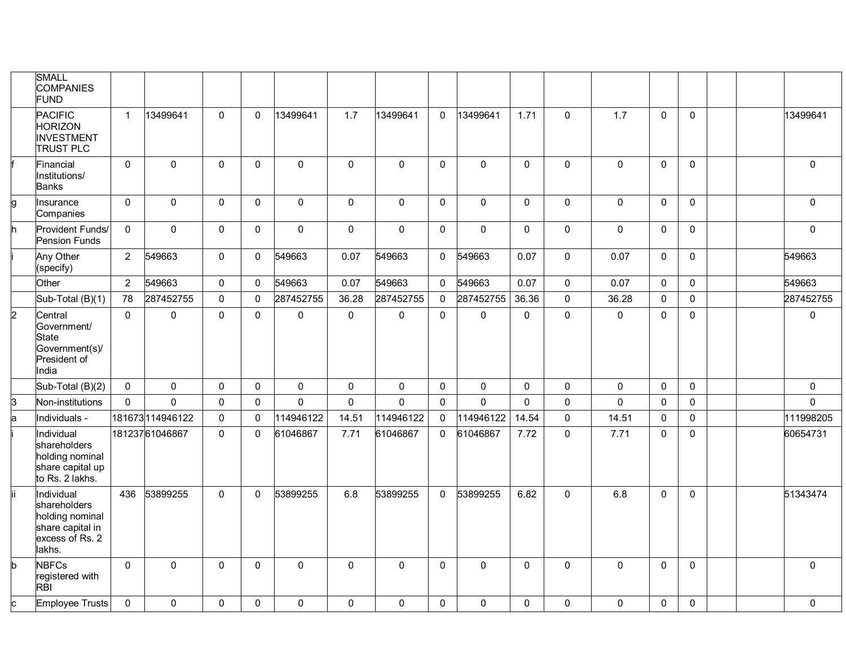|                | <b>SMALL</b><br><b>COMPANIES</b><br><b>FUND</b>                                                |                |                 |              |              |              |              |              |              |             |              |              |             |              |              |  |              |
|----------------|------------------------------------------------------------------------------------------------|----------------|-----------------|--------------|--------------|--------------|--------------|--------------|--------------|-------------|--------------|--------------|-------------|--------------|--------------|--|--------------|
|                | <b>PACIFIC</b><br><b>HORIZON</b><br><b>INVESTMENT</b><br><b>TRUST PLC</b>                      | $\mathbf{1}$   | 13499641        | $\mathbf{0}$ | $\mathbf 0$  | 13499641     | 1.7          | 13499641     | $\Omega$     | 13499641    | 1.71         | 0            | 1.7         | $\mathbf{0}$ | $\mathbf{0}$ |  | 13499641     |
|                | Financial<br>Institutions/<br><b>Banks</b>                                                     | $\mathbf 0$    | $\Omega$        | 0            | $\mathbf 0$  | $\mathbf 0$  | $\mathbf 0$  | 0            | $\mathbf 0$  | $\mathbf 0$ | 0            | 0            | 0           | $\mathbf{0}$ | $\Omega$     |  | $\mathbf 0$  |
| g              | Insurance<br>Companies                                                                         | 0              | $\mathbf 0$     | 0            | $\mathsf 0$  | $\mathbf 0$  | $\mathbf 0$  | $\mathbf 0$  | $\mathbf 0$  | $\pmb{0}$   | $\mathsf{O}$ | $\mathsf 0$  | $\mathsf 0$ | $\Omega$     | $\mathbf 0$  |  | $\mathbf 0$  |
|                | Provident Funds/<br>Pension Funds                                                              | 0              | $\mathbf{0}$    | 0            | 0            | $\mathbf 0$  | $\mathbf 0$  | $\mathbf 0$  | $\mathbf 0$  | $\mathbf 0$ | 0            | 0            | 0           | $\mathbf{0}$ | 0            |  | $\mathbf 0$  |
|                | Any Other<br>(specify)                                                                         | $\overline{2}$ | 549663          | 0            | 0            | 549663       | 0.07         | 549663       | $\mathbf 0$  | 549663      | 0.07         | $\mathsf{O}$ | 0.07        | $\mathbf 0$  | $\mathbf 0$  |  | 549663       |
|                | Other                                                                                          | $\overline{2}$ | 549663          | 0            | $\mathbf{0}$ | 549663       | 0.07         | 549663       | $\mathbf{0}$ | 549663      | 0.07         | 0            | 0.07        | $\mathbf{0}$ | $\mathbf{0}$ |  | 549663       |
|                | Sub-Total (B)(1)                                                                               | 78             | 287452755       | $\mathbf 0$  | $\mathbf 0$  | 287452755    | 36.28        | 287452755    | 0            | 287452755   | 36.36        | $\mathsf{O}$ | 36.28       | $\mathbf 0$  | $\mathbf 0$  |  | 287452755    |
| $\overline{2}$ | Central<br>Government/<br><b>State</b><br>Government(s)/<br>President of<br>India              | $\mathbf{0}$   | $\Omega$        | $\Omega$     | $\mathbf 0$  | 0            | $\mathsf{O}$ | 0            | $\mathbf 0$  | 0           | $\mathbf 0$  | $\mathbf 0$  | $\Omega$    | $\mathbf{0}$ | $\mathbf 0$  |  | $\mathbf 0$  |
|                | Sub-Total (B)(2)                                                                               | 0              | $\mathbf 0$     | 0            | 0            | 0            | $\pmb{0}$    | 0            | $\mathbf 0$  | 0           | $\mathbf 0$  | 0            | 0           | $\mathbf 0$  | $\mathbf 0$  |  | $\mathbf 0$  |
| k3             | Non-institutions                                                                               | $\Omega$       | $\Omega$        | $\Omega$     | $\mathbf 0$  | $\mathbf{0}$ | $\mathbf 0$  | $\Omega$     | $\mathbf 0$  | 0           | $\mathbf 0$  | $\mathbf{0}$ | $\mathbf 0$ | $\mathbf 0$  | 0            |  | $\mathbf 0$  |
| a              | Individuals -                                                                                  |                | 181673114946122 | 0            | $\mathbf{0}$ | 114946122    | 14.51        | 114946122    | $\mathbf{0}$ | 114946122   | 14.54        | $\pmb{0}$    | 14.51       | $\mathbf{0}$ | $\Omega$     |  | 111998205    |
|                | Individual<br>shareholders<br>holding nominal<br>share capital up<br>to Rs. 2 lakhs.           |                | 18123761046867  | $\Omega$     | $\Omega$     | 61046867     | 7.71         | 61046867     | $\mathbf{0}$ | 61046867    | 7.72         | $\pmb{0}$    | 7.71        | $\mathbf{0}$ | $\Omega$     |  | 60654731     |
| lii.           | Individual<br>shareholders<br>holding nominal<br>share capital in<br>excess of Rs. 2<br>lakhs. | 436            | 53899255        | $\mathbf{0}$ | $\mathbf 0$  | 53899255     | 6.8          | 53899255     | $\mathbf{0}$ | 53899255    | 6.82         | $\mathsf{O}$ | 6.8         | $\mathbf{0}$ | $\Omega$     |  | 51343474     |
| b              | <b>NBFCs</b><br>registered with<br><b>RBI</b>                                                  | $\mathbf{0}$   | $\mathbf{0}$    | $\Omega$     | 0            | $\mathbf 0$  | $\mathbf{0}$ | $\mathbf{0}$ | $\mathbf{0}$ | $\mathbf 0$ | $\mathbf{0}$ | 0            | $\Omega$    | $\mathbf{0}$ | 0            |  | $\mathbf{0}$ |
| C              | <b>Employee Trusts</b>                                                                         | 0              | 0               | 0            | 0            | 0            | $\mathbf 0$  | 0            | $\mathbf 0$  | 0           | $\mathbf 0$  | 0            | 0           | $\mathbf 0$  | 0            |  | $\mathbf 0$  |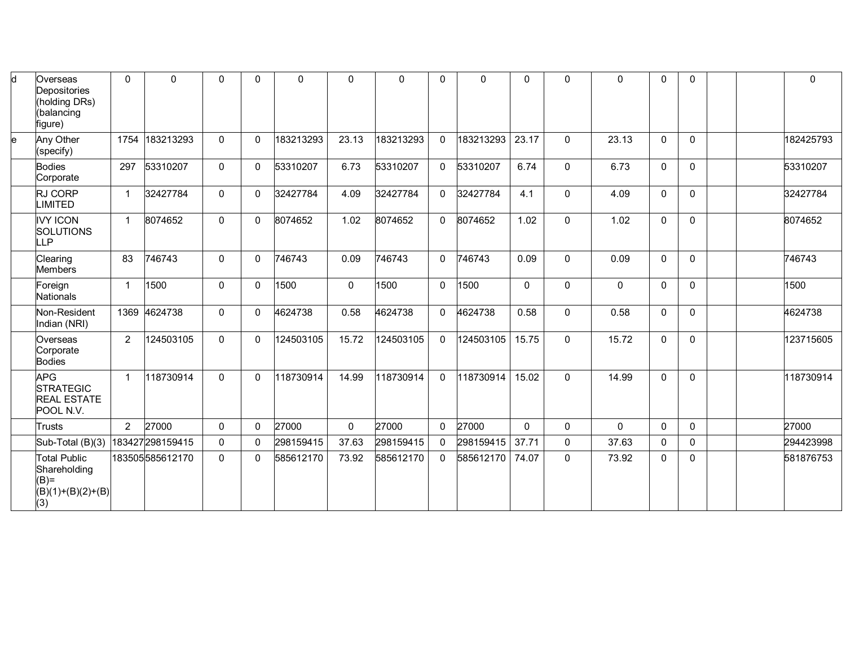| d  | Overseas<br>Depositories<br>(holding DRs)<br>(balancing<br>figure)          | $\mathbf{0}$   | $\Omega$        | 0              | 0            | 0         | $\mathbf 0$ | $\Omega$  | 0            | $\Omega$  | 0            | 0            | $\Omega$     | $\Omega$     | $\mathbf 0$  |  | $\mathbf 0$ |
|----|-----------------------------------------------------------------------------|----------------|-----------------|----------------|--------------|-----------|-------------|-----------|--------------|-----------|--------------|--------------|--------------|--------------|--------------|--|-------------|
| le | Any Other<br>(specify)                                                      | 1754           | 183213293       | 0              | $\mathbf{0}$ | 183213293 | 23.13       | 183213293 | 0            | 183213293 | 23.17        | $\mathbf 0$  | 23.13        | $\mathbf{0}$ | $\Omega$     |  | 182425793   |
|    | <b>Bodies</b><br>Corporate                                                  | 297            | 53310207        | 0              | 0            | 53310207  | 6.73        | 53310207  | $\mathbf{0}$ | 53310207  | 6.74         | $\mathsf{O}$ | 6.73         | $\mathbf{0}$ | $\mathbf{0}$ |  | 53310207    |
|    | RJ CORP<br><b>LIMITED</b>                                                   | 1              | 32427784        | $\mathbf 0$    | 0            | 32427784  | 4.09        | 32427784  | $\Omega$     | 32427784  | 4.1          | 0            | 4.09         | $\mathbf{0}$ | $\Omega$     |  | 32427784    |
|    | <b>IVY ICON</b><br><b>SOLUTIONS</b><br>LLP                                  | $\mathbf{1}$   | 8074652         | 0              | $\mathbf{0}$ | 8074652   | 1.02        | 8074652   | $\Omega$     | 8074652   | 1.02         | $\mathsf{O}$ | 1.02         | $\Omega$     | $\Omega$     |  | 8074652     |
|    | Clearing<br><b>Members</b>                                                  | 83             | 746743          | 0              | $\Omega$     | 746743    | 0.09        | 746743    | $\Omega$     | 746743    | 0.09         | $\mathsf{O}$ | 0.09         | $\mathbf{0}$ | $\Omega$     |  | 746743      |
|    | Foreign<br><b>Nationals</b>                                                 | 1              | 1500            | 0              | 0            | 1500      | 0           | 1500      | $\Omega$     | 1500      | $\mathbf{0}$ | 0            | $\mathbf 0$  | $\mathbf{0}$ | $\Omega$     |  | 1500        |
|    | Non-Resident<br>Indian (NRI)                                                | 1369           | 4624738         | 0              | 0            | 4624738   | 0.58        | 4624738   | 0            | 4624738   | 0.58         | $\mathsf{O}$ | 0.58         | $\mathbf 0$  | $\mathbf 0$  |  | 4624738     |
|    | Overseas<br>Corporate<br><b>Bodies</b>                                      | $\overline{2}$ | 124503105       | 0              | $\mathbf{0}$ | 124503105 | 15.72       | 124503105 | $\Omega$     | 124503105 | 15.75        | $\mathsf{O}$ | 15.72        | $\mathbf{0}$ | $\Omega$     |  | 123715605   |
|    | <b>APG</b><br><b>STRATEGIC</b><br><b>REAL ESTATE</b><br>POOL N.V.           | -1             | 118730914       | 0              | $\mathbf{0}$ | 118730914 | 14.99       | 118730914 | $\Omega$     | 118730914 | 15.02        | $\mathsf{O}$ | 14.99        | $\Omega$     | $\Omega$     |  | 118730914   |
|    | <b>Trusts</b>                                                               | 2              | 27000           | $\overline{0}$ | $\mathbf 0$  | 27000     | $\mathbf 0$ | 27000     | $\mathbf{0}$ | 27000     | $\mathbf{0}$ | 0            | $\mathbf{0}$ | $\mathbf{0}$ | $\Omega$     |  | 27000       |
|    | Sub-Total $(B)(3)$                                                          |                | 183427298159415 | 0              | $\mathbf{0}$ | 298159415 | 37.63       | 298159415 | $\Omega$     | 298159415 | 37.71        | $\mathsf 0$  | 37.63        | $\Omega$     | $\Omega$     |  | 294423998   |
|    | <b>Total Public</b><br>Shareholding<br>$(B)=$<br>$(B)(1)+(B)(2)+(B)$<br>(3) |                | 183505585612170 | 0              | 0            | 585612170 | 73.92       | 585612170 | $\Omega$     | 585612170 | 74.07        | $\mathsf{O}$ | 73.92        | $\mathbf{0}$ | $\mathbf 0$  |  | 581876753   |